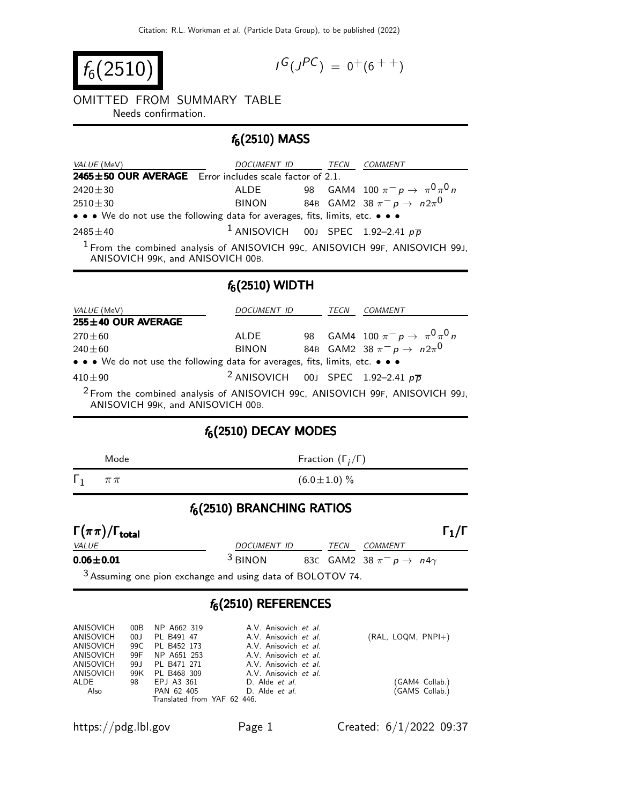$$
f_6(2510)
$$

$$
I^G(J^{PC}) = 0^+(6^{++})
$$

#### OMITTED FROM SUMMARY TABLE

Needs confirmation.

# $f_6(2510)$  MASS

| <i>VALUE</i> (MeV)                                                            | DOCUMENT ID                                               |  | TECN | COMMENT                                |  |  |
|-------------------------------------------------------------------------------|-----------------------------------------------------------|--|------|----------------------------------------|--|--|
| 2465±50 OUR AVERAGE Error includes scale factor of 2.1.                       |                                                           |  |      |                                        |  |  |
| $2420 \pm 30$                                                                 | ALDE                                                      |  |      | 98 GAM4 100 $\pi^ p \to \pi^0 \pi^0 n$ |  |  |
| $2510 \pm 30$                                                                 | <b>BINON</b>                                              |  |      | 84B GAM2 38 $\pi^ p \to n 2\pi^0$      |  |  |
| • • • We do not use the following data for averages, fits, limits, etc. • • • |                                                           |  |      |                                        |  |  |
| $2485 + 40$                                                                   | <sup>1</sup> ANISOVICH 00J SPEC 1.92-2.41 $p\overline{p}$ |  |      |                                        |  |  |

<sup>1</sup> From the combined analysis of ANISOVICH 99C, ANISOVICH 99F, ANISOVICH 99J, ANISOVICH 99K, and ANISOVICH 00B.

### $f_6(2510)$  WIDTH

| <i>VALUE</i> (MeV)                                                                      | DOCUMENT ID                                               |  |  | <b>COMMENT</b>                          |  |  |  |
|-----------------------------------------------------------------------------------------|-----------------------------------------------------------|--|--|-----------------------------------------|--|--|--|
| 255±40 OUR AVERAGE                                                                      |                                                           |  |  |                                         |  |  |  |
| $270 \pm 60$                                                                            | ALDE                                                      |  |  | 98 GAM4 100 $\pi^- p \to \pi^0 \pi^0 n$ |  |  |  |
| $240 \pm 60$                                                                            | <b>BINON</b>                                              |  |  | 84B GAM2 38 $\pi^- p \to n 2\pi^0$      |  |  |  |
| • • • We do not use the following data for averages, fits, limits, etc. • • •           |                                                           |  |  |                                         |  |  |  |
| $410\pm90$                                                                              | <sup>2</sup> ANISOVICH 00J SPEC 1.92-2.41 $p\overline{p}$ |  |  |                                         |  |  |  |
| <sup>2</sup> From the combined analysis of ANISOVICH 99C, ANISOVICH 99F, ANISOVICH 99J, |                                                           |  |  |                                         |  |  |  |

ANISOVICH 99K, and ANISOVICH 00B.

# $f_6(2510)$  DECAY MODES

| Mode                                | Fraction $(\Gamma_i/\Gamma)$ |  |      |                                                 |                   |  |  |
|-------------------------------------|------------------------------|--|------|-------------------------------------------------|-------------------|--|--|
| $\Gamma_1$<br>$\pi\pi$              | $(6.0 \pm 1.0)$ %            |  |      |                                                 |                   |  |  |
| $f_6(2510)$ BRANCHING RATIOS        |                              |  |      |                                                 |                   |  |  |
| $\Gamma(\pi\pi)/\Gamma_{\rm total}$ |                              |  |      |                                                 | $\Gamma_1/\Gamma$ |  |  |
| <i>VALUE</i>                        | DOCUMENT ID                  |  | TECN | COMMENT                                         |                   |  |  |
| $0.06 \pm 0.01$                     | $3$ BINON                    |  |      | 83C GAM2 38 $\pi^-$ p $\rightarrow$ n4 $\gamma$ |                   |  |  |

3 Assuming one pion exchange and using data of BOLOTOV 74.

### $f_6(2510)$  REFERENCES

| ANISOVICH<br>ANISOVICH<br>ANISOVICH | 00B<br>00J | NP A662 319<br>PL B491 47<br>99C PL B452 173 | A.V. Anisovich et al.<br>A.V. Anisovich et al.<br>A.V. Anisovich et al. | $(RAL, LOGM, PNPI+)$ |
|-------------------------------------|------------|----------------------------------------------|-------------------------------------------------------------------------|----------------------|
| ANISOVICH                           | 99F        | NP A651 253                                  | A.V. Anisovich et al.                                                   |                      |
| ANISOVICH                           | 99.J       | PL B471 271                                  | A.V. Anisovich et al.                                                   |                      |
| ANISOVICH                           | 99K        | PL B468 309                                  | A.V. Anisovich et al.                                                   |                      |
| ALDE                                | 98         | EPJ A3 361                                   | D. Alde <i>et al.</i>                                                   | (GAM4 Collab.)       |
| Also                                |            | PAN 62 405                                   | D. Alde <i>et al.</i>                                                   | (GAMS Collab.)       |
|                                     |            | Translated from YAF 62 446.                  |                                                                         |                      |